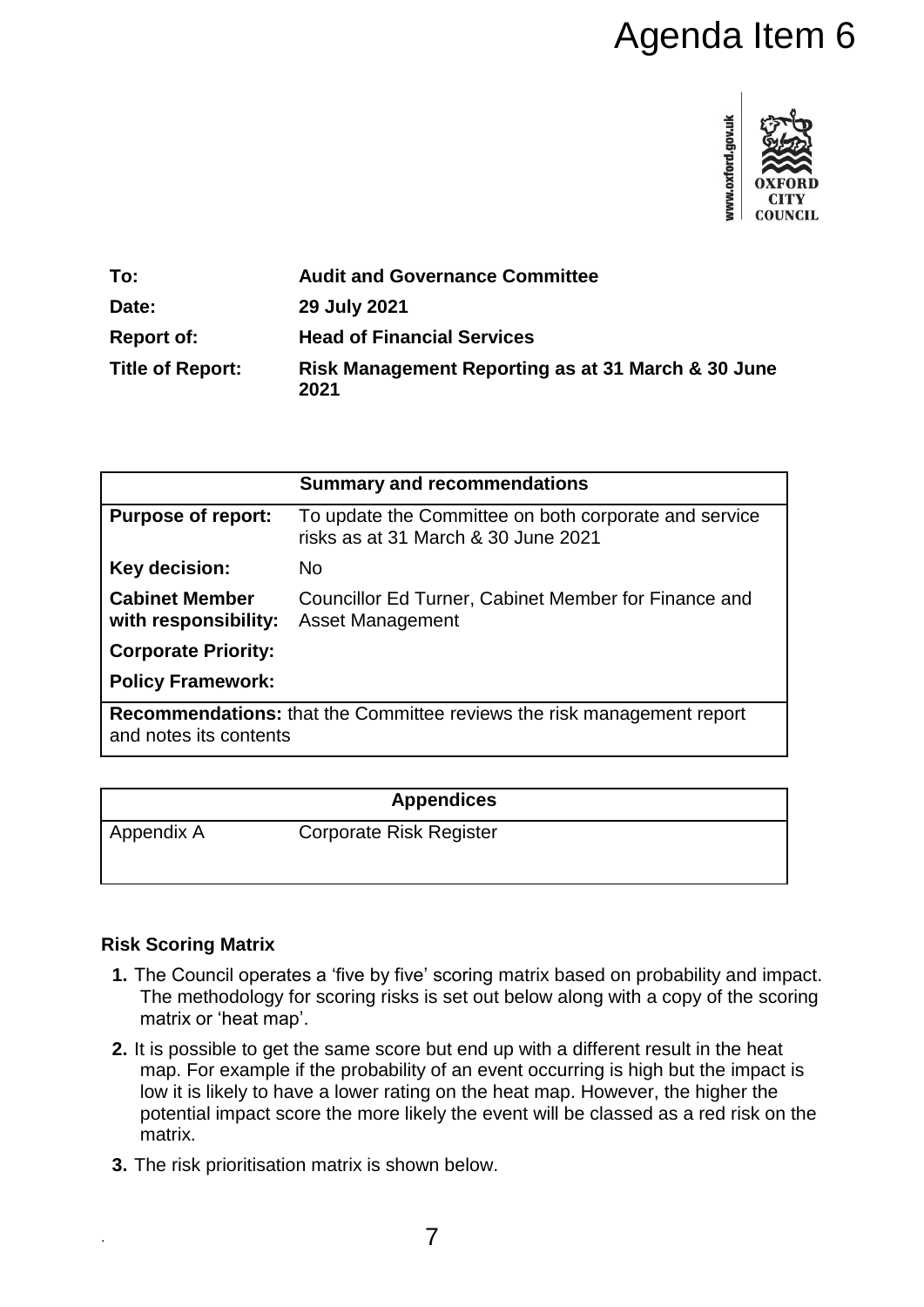# Agenda Item 6



| To:                     | <b>Audit and Governance Committee</b>                      |
|-------------------------|------------------------------------------------------------|
| Date:                   | 29 July 2021                                               |
| <b>Report of:</b>       | <b>Head of Financial Services</b>                          |
| <b>Title of Report:</b> | Risk Management Reporting as at 31 March & 30 June<br>2021 |

|                                                                               | <b>Summary and recommendations</b>                                                           |  |
|-------------------------------------------------------------------------------|----------------------------------------------------------------------------------------------|--|
| <b>Purpose of report:</b>                                                     | To update the Committee on both corporate and service<br>risks as at 31 March & 30 June 2021 |  |
| Key decision:                                                                 | <b>No</b>                                                                                    |  |
| <b>Cabinet Member</b><br>with responsibility:                                 | Councillor Ed Turner, Cabinet Member for Finance and<br>Asset Management                     |  |
| <b>Corporate Priority:</b>                                                    |                                                                                              |  |
| <b>Policy Framework:</b>                                                      |                                                                                              |  |
| <b>Recommendations:</b> that the Committee reviews the risk management report |                                                                                              |  |
| and notes its contents                                                        |                                                                                              |  |

|            | <b>Appendices</b>              |  |
|------------|--------------------------------|--|
| Appendix A | <b>Corporate Risk Register</b> |  |

# **Risk Scoring Matrix**

.

- **1.** The Council operates a 'five by five' scoring matrix based on probability and impact. The methodology for scoring risks is set out below along with a copy of the scoring matrix or 'heat map'.
- **2.** It is possible to get the same score but end up with a different result in the heat map. For example if the probability of an event occurring is high but the impact is low it is likely to have a lower rating on the heat map. However, the higher the potential impact score the more likely the event will be classed as a red risk on the matrix.
- **3.** The risk prioritisation matrix is shown below.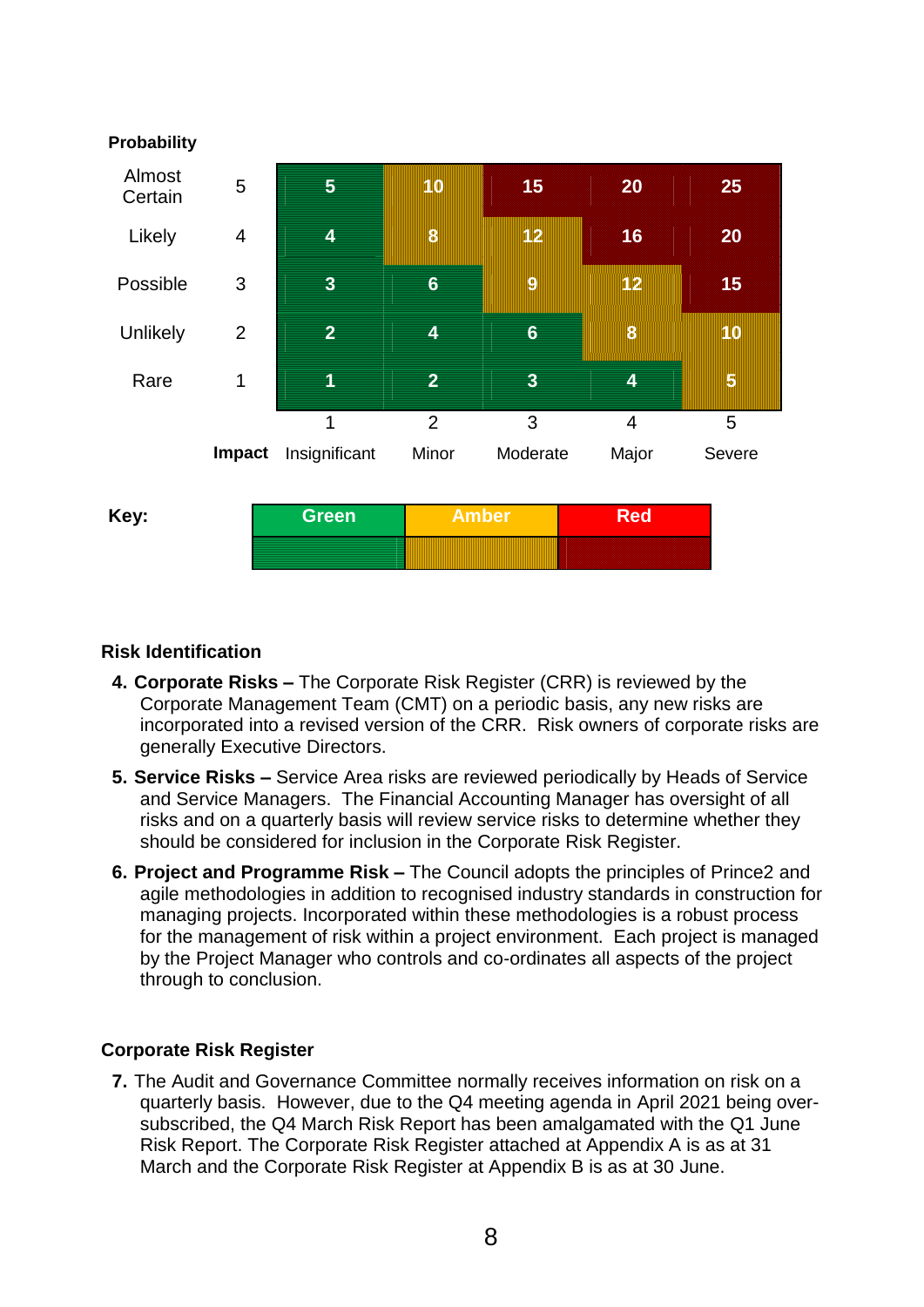

# **Risk Identification**

- **4. Corporate Risks –** The Corporate Risk Register (CRR) is reviewed by the Corporate Management Team (CMT) on a periodic basis, any new risks are incorporated into a revised version of the CRR. Risk owners of corporate risks are generally Executive Directors.
- **5. Service Risks –** Service Area risks are reviewed periodically by Heads of Service and Service Managers. The Financial Accounting Manager has oversight of all risks and on a quarterly basis will review service risks to determine whether they should be considered for inclusion in the Corporate Risk Register.
- **6. Project and Programme Risk –** The Council adopts the principles of Prince2 and agile methodologies in addition to recognised industry standards in construction for managing projects. Incorporated within these methodologies is a robust process for the management of risk within a project environment. Each project is managed by the Project Manager who controls and co-ordinates all aspects of the project through to conclusion.

# **Corporate Risk Register**

**7.** The Audit and Governance Committee normally receives information on risk on a quarterly basis. However, due to the Q4 meeting agenda in April 2021 being oversubscribed, the Q4 March Risk Report has been amalgamated with the Q1 June Risk Report. The Corporate Risk Register attached at Appendix A is as at 31 March and the Corporate Risk Register at Appendix B is as at 30 June.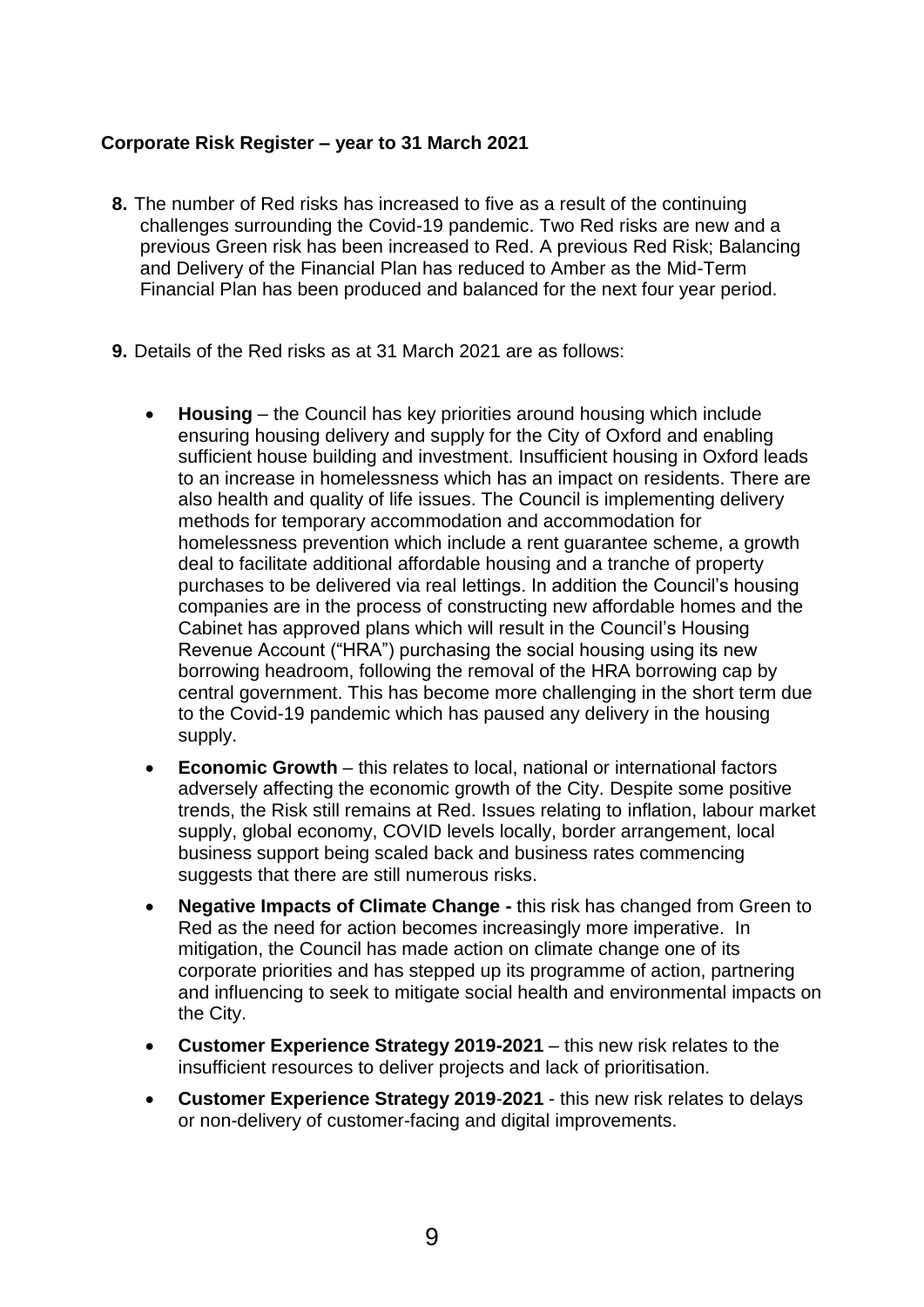#### **Corporate Risk Register – year to 31 March 2021**

- **8.** The number of Red risks has increased to five as a result of the continuing challenges surrounding the Covid-19 pandemic. Two Red risks are new and a previous Green risk has been increased to Red. A previous Red Risk; Balancing and Delivery of the Financial Plan has reduced to Amber as the Mid-Term Financial Plan has been produced and balanced for the next four year period.
- **9.** Details of the Red risks as at 31 March 2021 are as follows:
	- **Housing** the Council has key priorities around housing which include ensuring housing delivery and supply for the City of Oxford and enabling sufficient house building and investment. Insufficient housing in Oxford leads to an increase in homelessness which has an impact on residents. There are also health and quality of life issues. The Council is implementing delivery methods for temporary accommodation and accommodation for homelessness prevention which include a rent guarantee scheme, a growth deal to facilitate additional affordable housing and a tranche of property purchases to be delivered via real lettings. In addition the Council's housing companies are in the process of constructing new affordable homes and the Cabinet has approved plans which will result in the Council's Housing Revenue Account ("HRA") purchasing the social housing using its new borrowing headroom, following the removal of the HRA borrowing cap by central government. This has become more challenging in the short term due to the Covid-19 pandemic which has paused any delivery in the housing supply.
	- **Economic Growth** this relates to local, national or international factors adversely affecting the economic growth of the City. Despite some positive trends, the Risk still remains at Red. Issues relating to inflation, labour market supply, global economy, COVID levels locally, border arrangement, local business support being scaled back and business rates commencing suggests that there are still numerous risks.
	- **Negative Impacts of Climate Change -** this risk has changed from Green to Red as the need for action becomes increasingly more imperative. In mitigation, the Council has made action on climate change one of its corporate priorities and has stepped up its programme of action, partnering and influencing to seek to mitigate social health and environmental impacts on the City.
	- **Customer Experience Strategy 2019-2021** this new risk relates to the insufficient resources to deliver projects and lack of prioritisation.
	- **Customer Experience Strategy 2019**-**2021**  this new risk relates to delays or non-delivery of customer-facing and digital improvements.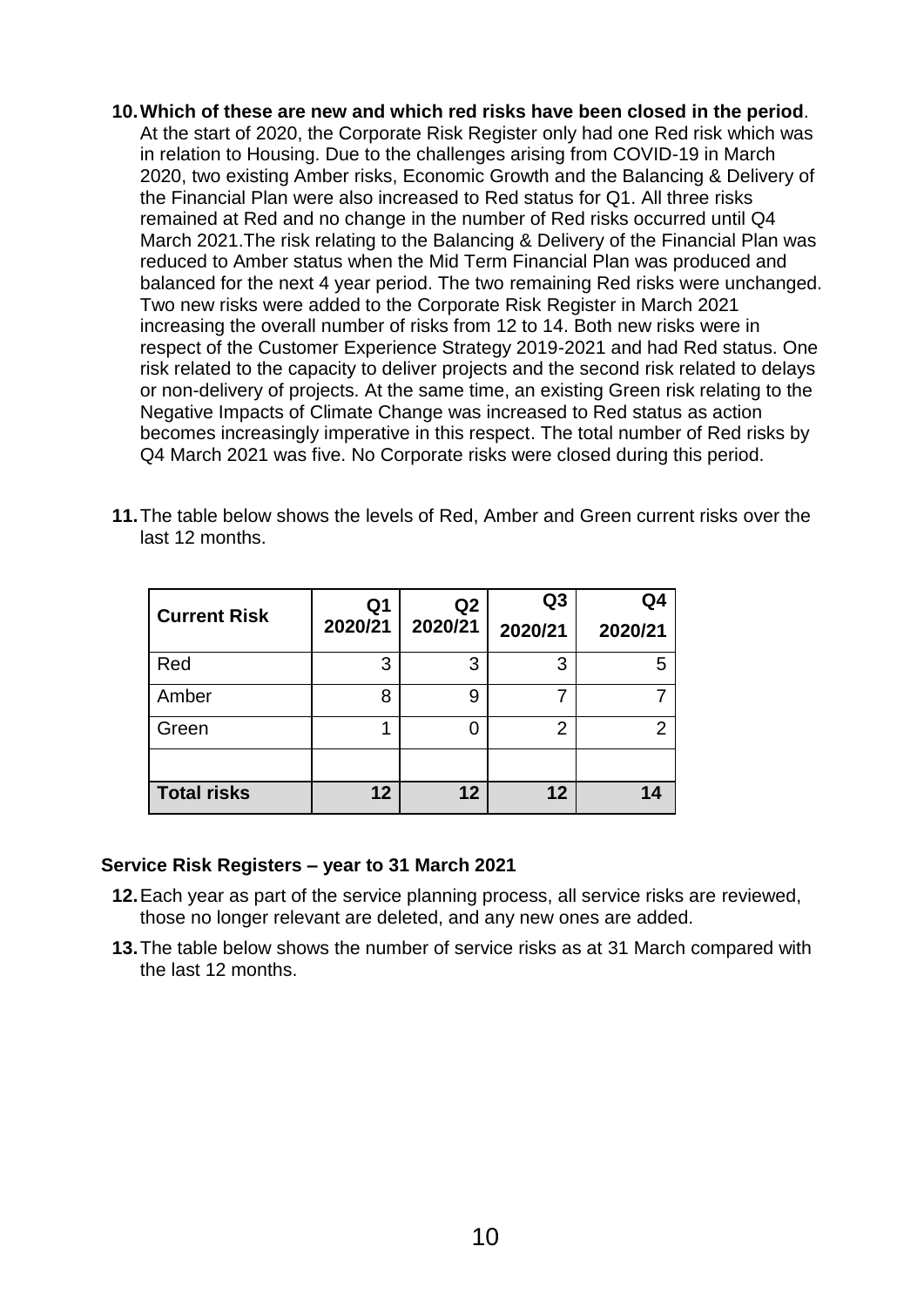**10.Which of these are new and which red risks have been closed in the period**. At the start of 2020, the Corporate Risk Register only had one Red risk which was in relation to Housing. Due to the challenges arising from COVID-19 in March 2020, two existing Amber risks, Economic Growth and the Balancing & Delivery of the Financial Plan were also increased to Red status for Q1. All three risks remained at Red and no change in the number of Red risks occurred until Q4 March 2021.The risk relating to the Balancing & Delivery of the Financial Plan was reduced to Amber status when the Mid Term Financial Plan was produced and balanced for the next 4 year period. The two remaining Red risks were unchanged. Two new risks were added to the Corporate Risk Register in March 2021 increasing the overall number of risks from 12 to 14. Both new risks were in respect of the Customer Experience Strategy 2019-2021 and had Red status. One risk related to the capacity to deliver projects and the second risk related to delays or non-delivery of projects. At the same time, an existing Green risk relating to the Negative Impacts of Climate Change was increased to Red status as action becomes increasingly imperative in this respect. The total number of Red risks by Q4 March 2021 was five. No Corporate risks were closed during this period.

| <b>Current Risk</b> | Q1<br>2020/21 | Q <sub>2</sub><br>2020/21 | Q3<br>2020/21 | Q4<br>2020/21 |
|---------------------|---------------|---------------------------|---------------|---------------|
| Red                 | 3             | 3                         | 3             |               |
| Amber               | 8             | 9                         |               |               |
| Green               |               |                           | 2             | 2             |
|                     |               |                           |               |               |
| <b>Total risks</b>  | 12            | 12                        | 12            |               |

**11.**The table below shows the levels of Red, Amber and Green current risks over the last 12 months.

#### **Service Risk Registers – year to 31 March 2021**

- **12.**Each year as part of the service planning process, all service risks are reviewed, those no longer relevant are deleted, and any new ones are added.
- **13.**The table below shows the number of service risks as at 31 March compared with the last 12 months.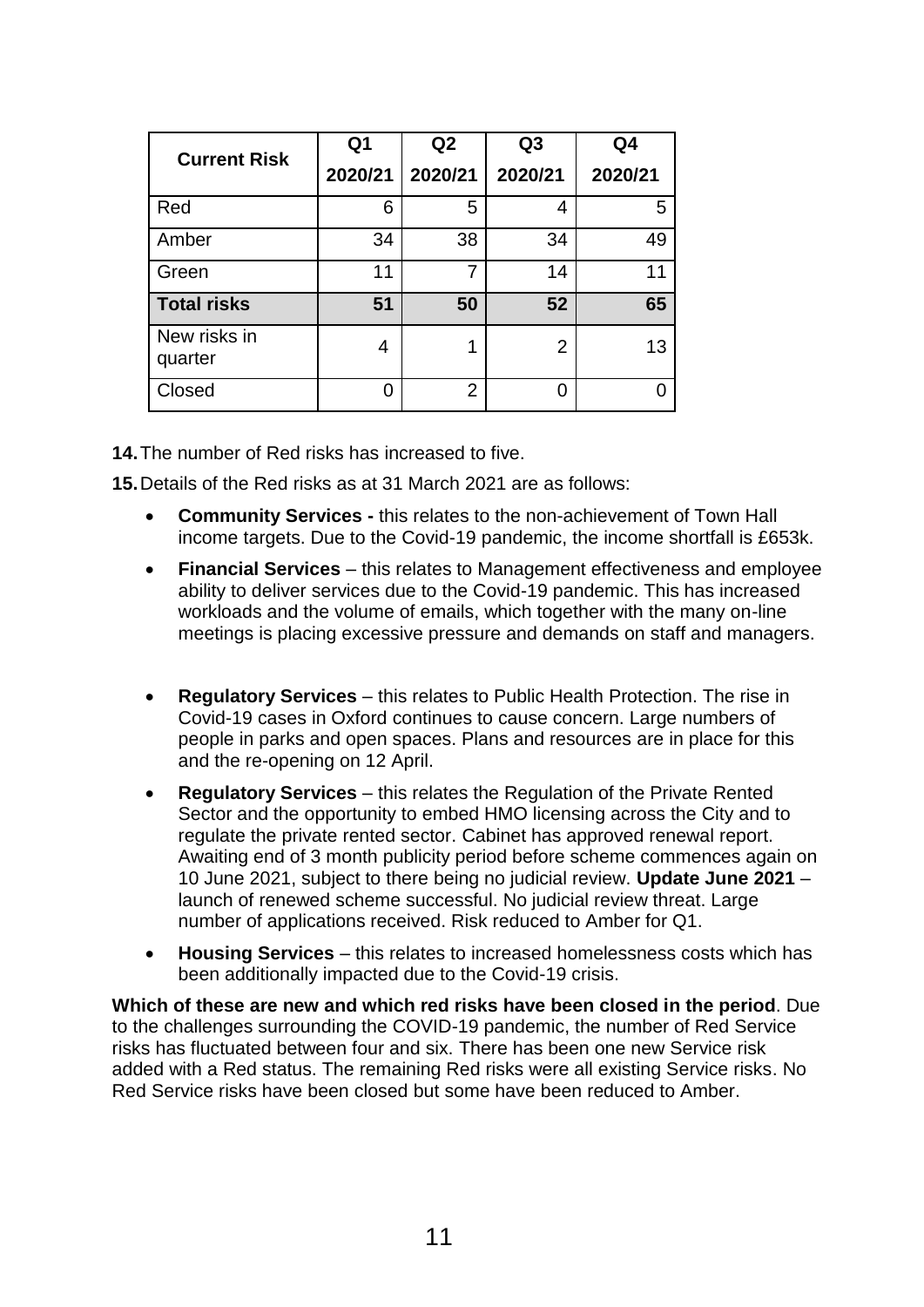| <b>Current Risk</b>     | Q <sub>1</sub> | Q2      | Q <sub>3</sub> | Q4      |
|-------------------------|----------------|---------|----------------|---------|
|                         | 2020/21        | 2020/21 | 2020/21        | 2020/21 |
| Red                     | 6              | 5       | 4              | 5       |
| Amber                   | 34             | 38      | 34             | 49      |
| Green                   | 11             | 7       | 14             | 11      |
| <b>Total risks</b>      | 51             | 50      | 52             | 65      |
| New risks in<br>quarter | 4              | 1       | $\overline{2}$ | 13      |
| Closed                  | 0              | 2       | 0              |         |

**14.**The number of Red risks has increased to five.

**15.**Details of the Red risks as at 31 March 2021 are as follows:

- **Community Services -** this relates to the non-achievement of Town Hall income targets. Due to the Covid-19 pandemic, the income shortfall is £653k.
- **Financial Services**  this relates to Management effectiveness and employee ability to deliver services due to the Covid-19 pandemic. This has increased workloads and the volume of emails, which together with the many on-line meetings is placing excessive pressure and demands on staff and managers.
- **Regulatory Services** this relates to Public Health Protection. The rise in Covid-19 cases in Oxford continues to cause concern. Large numbers of people in parks and open spaces. Plans and resources are in place for this and the re-opening on 12 April.
- **Regulatory Services** this relates the Regulation of the Private Rented Sector and the opportunity to embed HMO licensing across the City and to regulate the private rented sector. Cabinet has approved renewal report. Awaiting end of 3 month publicity period before scheme commences again on 10 June 2021, subject to there being no judicial review. **Update June 2021** – launch of renewed scheme successful. No judicial review threat. Large number of applications received. Risk reduced to Amber for Q1.
- **Housing Services** this relates to increased homelessness costs which has been additionally impacted due to the Covid-19 crisis.

**Which of these are new and which red risks have been closed in the period**. Due to the challenges surrounding the COVID-19 pandemic, the number of Red Service risks has fluctuated between four and six. There has been one new Service risk added with a Red status. The remaining Red risks were all existing Service risks. No Red Service risks have been closed but some have been reduced to Amber.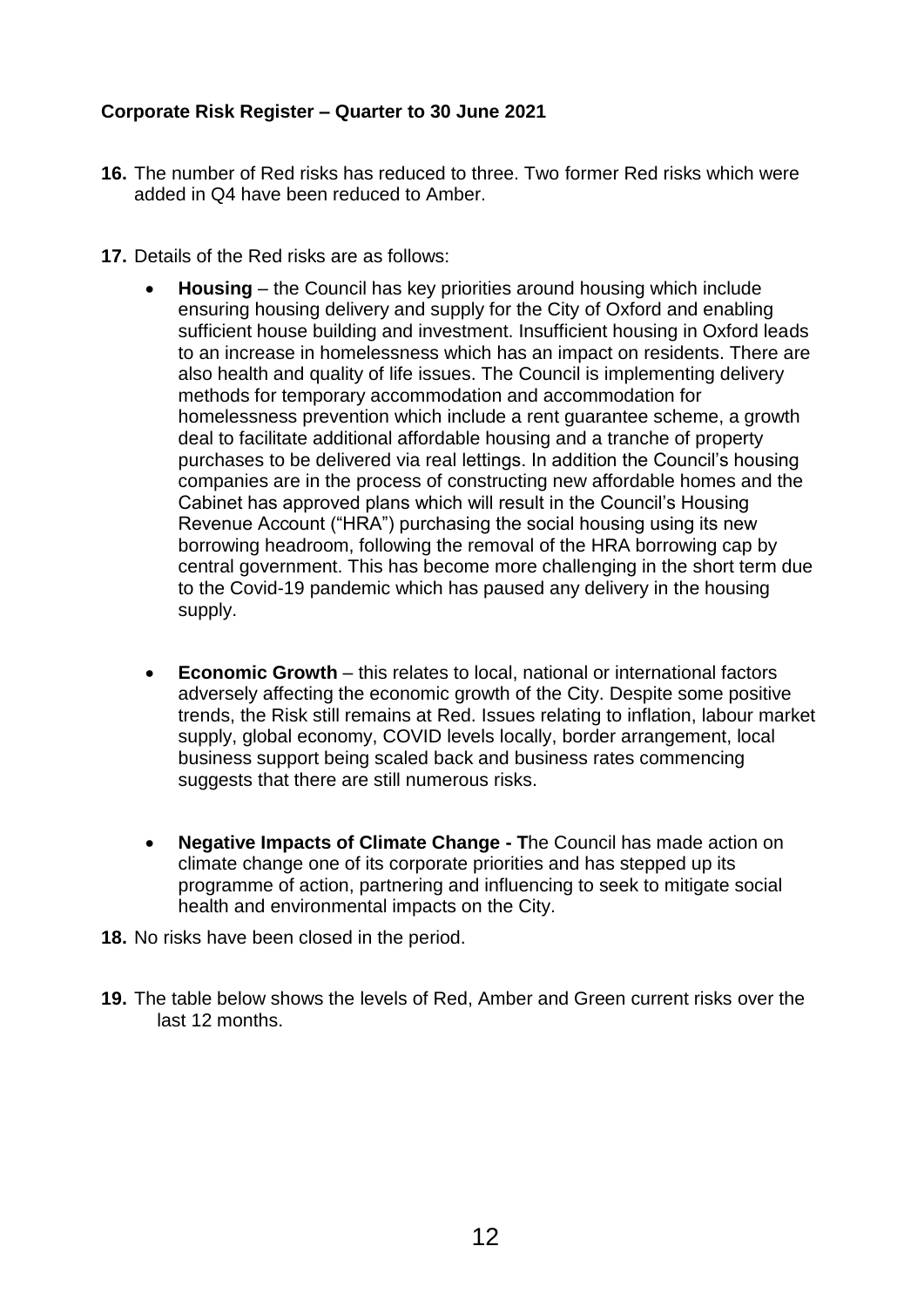# **Corporate Risk Register – Quarter to 30 June 2021**

- **16.** The number of Red risks has reduced to three. Two former Red risks which were added in Q4 have been reduced to Amber.
- **17.** Details of the Red risks are as follows:
	- **Housing** the Council has key priorities around housing which include ensuring housing delivery and supply for the City of Oxford and enabling sufficient house building and investment. Insufficient housing in Oxford leads to an increase in homelessness which has an impact on residents. There are also health and quality of life issues. The Council is implementing delivery methods for temporary accommodation and accommodation for homelessness prevention which include a rent guarantee scheme, a growth deal to facilitate additional affordable housing and a tranche of property purchases to be delivered via real lettings. In addition the Council's housing companies are in the process of constructing new affordable homes and the Cabinet has approved plans which will result in the Council's Housing Revenue Account ("HRA") purchasing the social housing using its new borrowing headroom, following the removal of the HRA borrowing cap by central government. This has become more challenging in the short term due to the Covid-19 pandemic which has paused any delivery in the housing supply.
	- **Economic Growth** this relates to local, national or international factors adversely affecting the economic growth of the City. Despite some positive trends, the Risk still remains at Red. Issues relating to inflation, labour market supply, global economy, COVID levels locally, border arrangement, local business support being scaled back and business rates commencing suggests that there are still numerous risks.
	- **Negative Impacts of Climate Change - T**he Council has made action on climate change one of its corporate priorities and has stepped up its programme of action, partnering and influencing to seek to mitigate social health and environmental impacts on the City.
- **18.** No risks have been closed in the period.
- **19.** The table below shows the levels of Red, Amber and Green current risks over the last 12 months.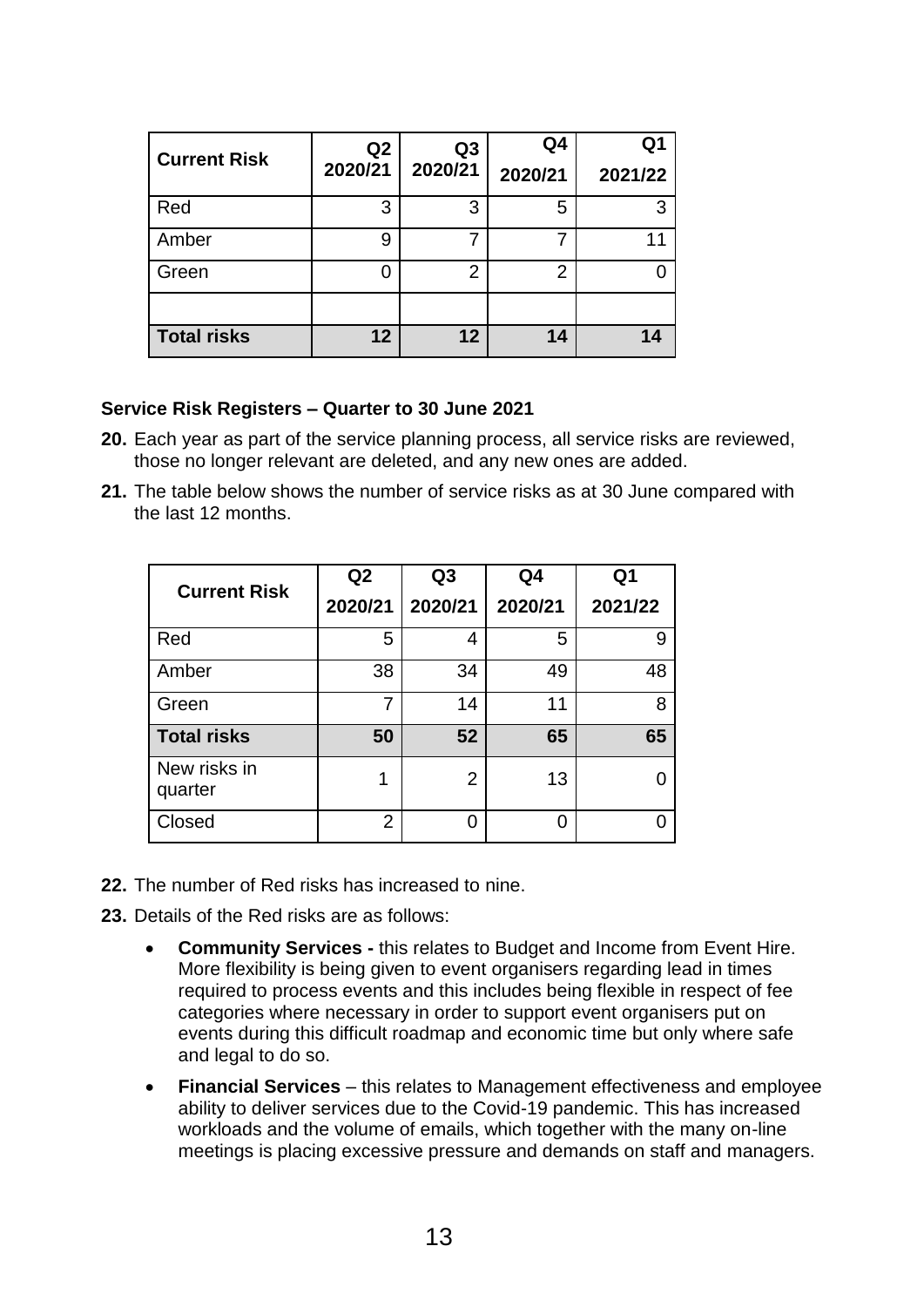| <b>Current Risk</b> | Q <sub>2</sub><br>2020/21 | Q <sub>3</sub><br>2020/21 | Q4<br>2020/21  | Q1<br>2021/22 |
|---------------------|---------------------------|---------------------------|----------------|---------------|
| Red                 | 3                         | 3                         | 5              | 3             |
| Amber               | 9                         |                           |                | 11            |
| Green               | ი                         | $\overline{2}$            | $\overline{2}$ |               |
|                     |                           |                           |                |               |
| <b>Total risks</b>  | 12                        | 12                        | 14             |               |

#### **Service Risk Registers – Quarter to 30 June 2021**

- **20.** Each year as part of the service planning process, all service risks are reviewed, those no longer relevant are deleted, and any new ones are added.
- **21.** The table below shows the number of service risks as at 30 June compared with the last 12 months.

| <b>Current Risk</b>     | Q2             | Q <sub>3</sub> | Q4      | Q1      |
|-------------------------|----------------|----------------|---------|---------|
|                         | 2020/21        | 2020/21        | 2020/21 | 2021/22 |
| Red                     | 5              | 4              | 5       | 9       |
| Amber                   | 38             | 34             | 49      | 48      |
| Green                   | 7              | 14             | 11      | 8       |
| <b>Total risks</b>      | 50             | 52             | 65      | 65      |
| New risks in<br>quarter | 1              | $\overline{2}$ | 13      |         |
| Closed                  | $\overline{2}$ | O              | 0       |         |

- **22.** The number of Red risks has increased to nine.
- **23.** Details of the Red risks are as follows:
	- **Community Services -** this relates to Budget and Income from Event Hire. More flexibility is being given to event organisers regarding lead in times required to process events and this includes being flexible in respect of fee categories where necessary in order to support event organisers put on events during this difficult roadmap and economic time but only where safe and legal to do so.
	- **Financial Services**  this relates to Management effectiveness and employee ability to deliver services due to the Covid-19 pandemic. This has increased workloads and the volume of emails, which together with the many on-line meetings is placing excessive pressure and demands on staff and managers.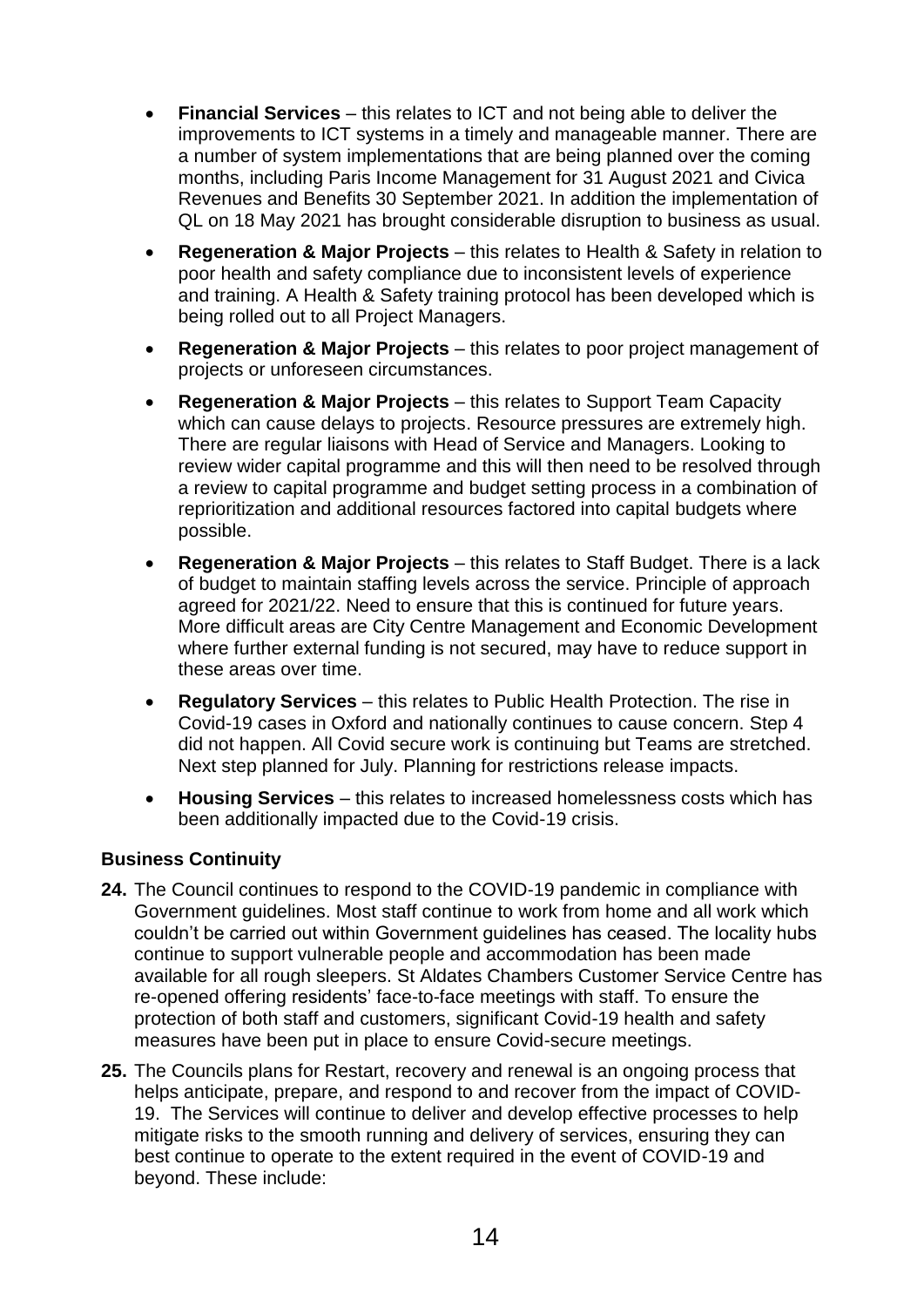- **Financial Services**  this relates to ICT and not being able to deliver the improvements to ICT systems in a timely and manageable manner. There are a number of system implementations that are being planned over the coming months, including Paris Income Management for 31 August 2021 and Civica Revenues and Benefits 30 September 2021. In addition the implementation of QL on 18 May 2021 has brought considerable disruption to business as usual.
- **Regeneration & Major Projects**  this relates to Health & Safety in relation to poor health and safety compliance due to inconsistent levels of experience and training. A Health & Safety training protocol has been developed which is being rolled out to all Project Managers.
- **Regeneration & Major Projects** this relates to poor project management of projects or unforeseen circumstances.
- **Regeneration & Major Projects**  this relates to Support Team Capacity which can cause delays to projects. Resource pressures are extremely high. There are regular liaisons with Head of Service and Managers. Looking to review wider capital programme and this will then need to be resolved through a review to capital programme and budget setting process in a combination of reprioritization and additional resources factored into capital budgets where possible.
- **Regeneration & Major Projects**  this relates to Staff Budget. There is a lack of budget to maintain staffing levels across the service. Principle of approach agreed for 2021/22. Need to ensure that this is continued for future years. More difficult areas are City Centre Management and Economic Development where further external funding is not secured, may have to reduce support in these areas over time.
- **Regulatory Services** this relates to Public Health Protection. The rise in Covid-19 cases in Oxford and nationally continues to cause concern. Step 4 did not happen. All Covid secure work is continuing but Teams are stretched. Next step planned for July. Planning for restrictions release impacts.
- **Housing Services** this relates to increased homelessness costs which has been additionally impacted due to the Covid-19 crisis.

# **Business Continuity**

- **24.** The Council continues to respond to the COVID-19 pandemic in compliance with Government guidelines. Most staff continue to work from home and all work which couldn't be carried out within Government guidelines has ceased. The locality hubs continue to support vulnerable people and accommodation has been made available for all rough sleepers. St Aldates Chambers Customer Service Centre has re-opened offering residents' face-to-face meetings with staff. To ensure the protection of both staff and customers, significant Covid-19 health and safety measures have been put in place to ensure Covid-secure meetings.
- **25.** The Councils plans for Restart, recovery and renewal is an ongoing process that helps anticipate, prepare, and respond to and recover from the impact of COVID-19. The Services will continue to deliver and develop effective processes to help mitigate risks to the smooth running and delivery of services, ensuring they can best continue to operate to the extent required in the event of COVID-19 and beyond. These include: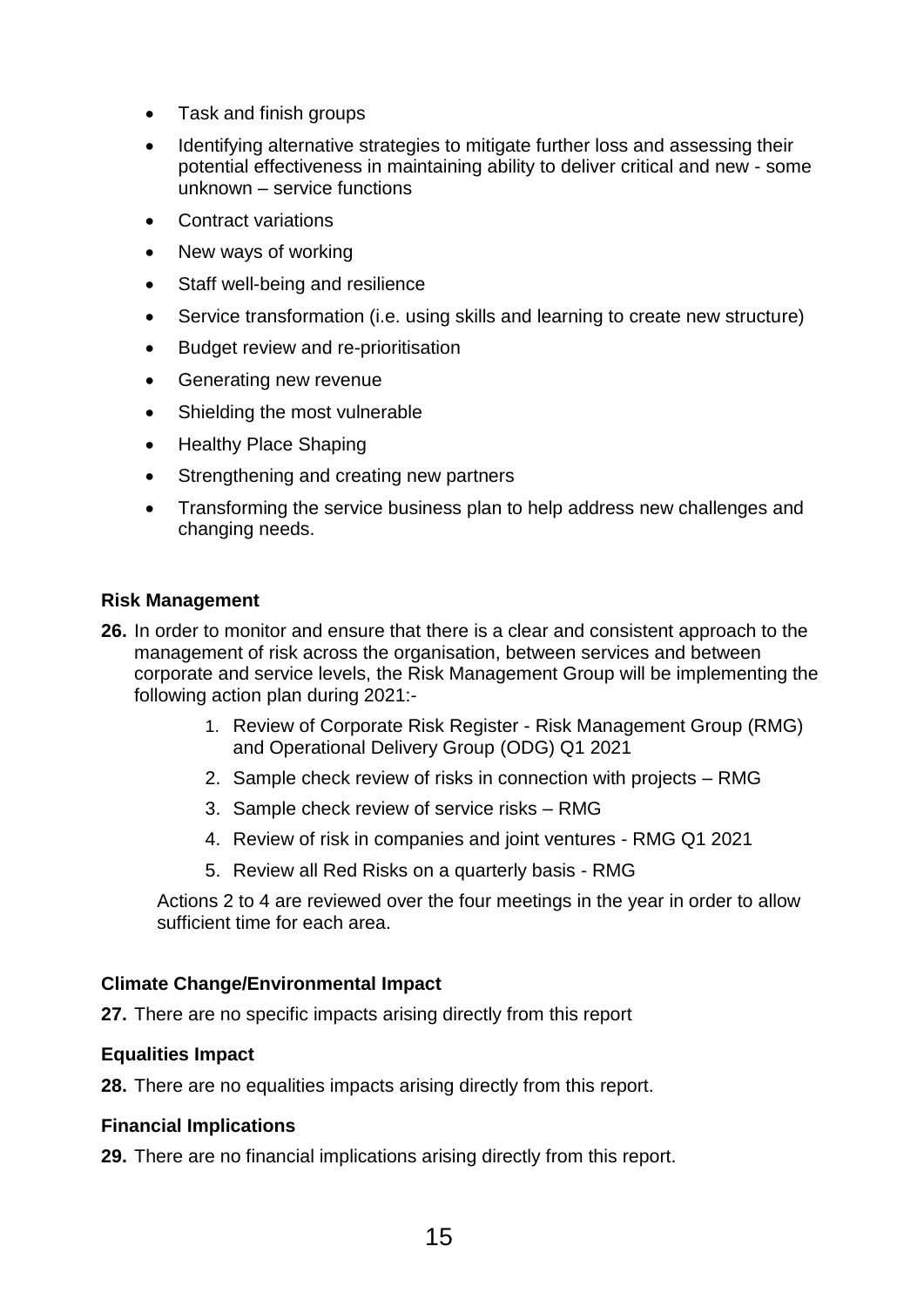- Task and finish groups
- Identifying alternative strategies to mitigate further loss and assessing their potential effectiveness in maintaining ability to deliver critical and new - some unknown – service functions
- Contract variations
- New ways of working
- Staff well-being and resilience
- Service transformation (i.e. using skills and learning to create new structure)
- Budget review and re-prioritisation
- Generating new revenue
- Shielding the most vulnerable
- Healthy Place Shaping
- Strengthening and creating new partners
- Transforming the service business plan to help address new challenges and changing needs.

#### **Risk Management**

- **26.** In order to monitor and ensure that there is a clear and consistent approach to the management of risk across the organisation, between services and between corporate and service levels, the Risk Management Group will be implementing the following action plan during 2021:-
	- 1. Review of Corporate Risk Register Risk Management Group (RMG) and Operational Delivery Group (ODG) Q1 2021
	- 2. Sample check review of risks in connection with projects RMG
	- 3. Sample check review of service risks RMG
	- 4. Review of risk in companies and joint ventures RMG Q1 2021
	- 5. Review all Red Risks on a quarterly basis RMG

Actions 2 to 4 are reviewed over the four meetings in the year in order to allow sufficient time for each area.

#### **Climate Change/Environmental Impact**

**27.** There are no specific impacts arising directly from this report

#### **Equalities Impact**

**28.** There are no equalities impacts arising directly from this report.

# **Financial Implications**

**29.** There are no financial implications arising directly from this report.